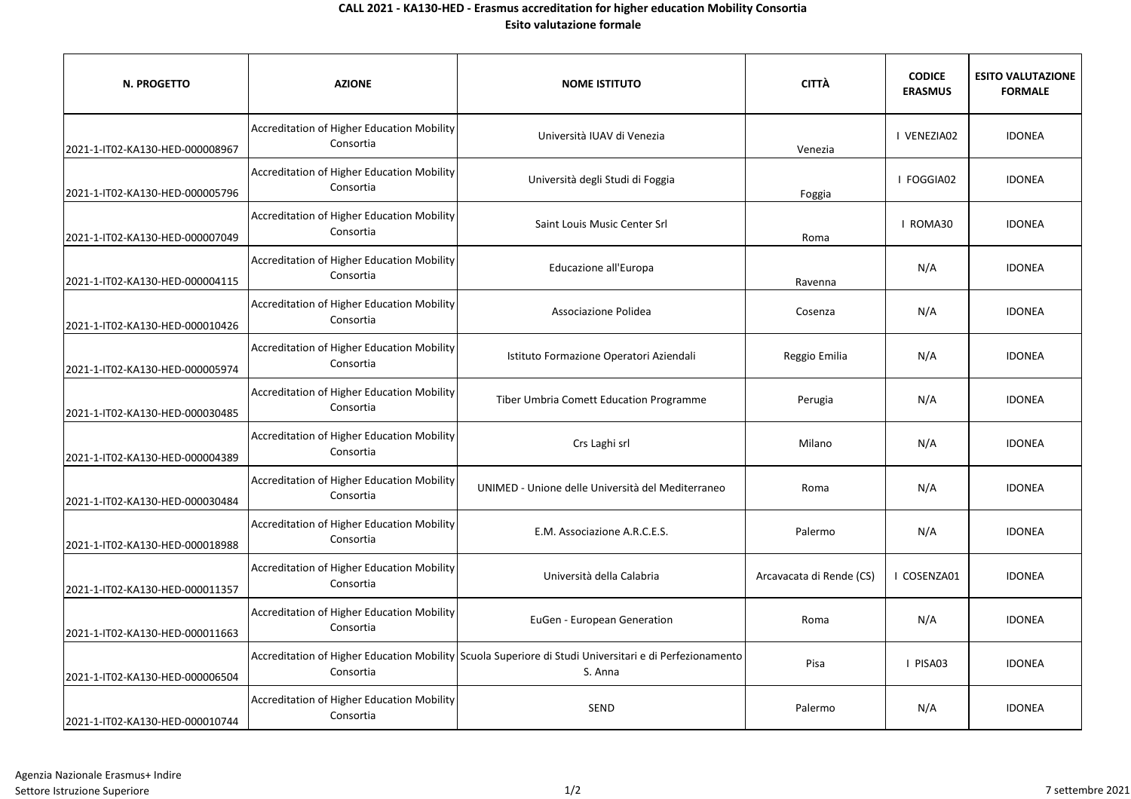## **CALL 2021 - KA130-HED - Erasmus accreditation for higher education Mobility Consortia Esito valutazione formale**

| N. PROGETTO                     | <b>AZIONE</b>                                                  | <b>NOME ISTITUTO</b>                                                                                              | <b>CITTÀ</b>             | <b>CODICE</b><br><b>ERASMUS</b> | <b>ESITO VALUTAZIONE</b><br><b>FORMALE</b> |
|---------------------------------|----------------------------------------------------------------|-------------------------------------------------------------------------------------------------------------------|--------------------------|---------------------------------|--------------------------------------------|
| 2021-1-IT02-KA130-HED-000008967 | Accreditation of Higher Education Mobility<br>Consortia        | Università IUAV di Venezia                                                                                        | Venezia                  | I VENEZIA02                     | <b>IDONEA</b>                              |
| 2021-1-IT02-KA130-HED-000005796 | Accreditation of Higher Education Mobility<br>Consortia        | Università degli Studi di Foggia                                                                                  | Foggia                   | I FOGGIA02                      | <b>IDONEA</b>                              |
| 2021-1-IT02-KA130-HED-000007049 | <b>Accreditation of Higher Education Mobility</b><br>Consortia | Saint Louis Music Center Srl                                                                                      | Roma                     | I ROMA30                        | <b>IDONEA</b>                              |
| 2021-1-IT02-KA130-HED-000004115 | Accreditation of Higher Education Mobility<br>Consortia        | Educazione all'Europa                                                                                             | Ravenna                  | N/A                             | <b>IDONEA</b>                              |
| 2021-1-IT02-KA130-HED-000010426 | Accreditation of Higher Education Mobility<br>Consortia        | Associazione Polidea                                                                                              | Cosenza                  | N/A                             | <b>IDONEA</b>                              |
| 2021-1-IT02-KA130-HED-000005974 | Accreditation of Higher Education Mobility<br>Consortia        | Istituto Formazione Operatori Aziendali                                                                           | Reggio Emilia            | N/A                             | <b>IDONEA</b>                              |
| 2021-1-IT02-KA130-HED-000030485 | Accreditation of Higher Education Mobility<br>Consortia        | Tiber Umbria Comett Education Programme                                                                           | Perugia                  | N/A                             | <b>IDONEA</b>                              |
| 2021-1-IT02-KA130-HED-000004389 | Accreditation of Higher Education Mobility<br>Consortia        | Crs Laghi srl                                                                                                     | Milano                   | N/A                             | <b>IDONEA</b>                              |
| 2021-1-IT02-KA130-HED-000030484 | Accreditation of Higher Education Mobility<br>Consortia        | UNIMED - Unione delle Università del Mediterraneo                                                                 | Roma                     | N/A                             | <b>IDONEA</b>                              |
| 2021-1-IT02-KA130-HED-000018988 | Accreditation of Higher Education Mobility<br>Consortia        | E.M. Associazione A.R.C.E.S.                                                                                      | Palermo                  | N/A                             | <b>IDONEA</b>                              |
| 2021-1-IT02-KA130-HED-000011357 | Accreditation of Higher Education Mobility<br>Consortia        | Università della Calabria                                                                                         | Arcavacata di Rende (CS) | I COSENZA01                     | <b>IDONEA</b>                              |
| 2021-1-IT02-KA130-HED-000011663 | Accreditation of Higher Education Mobility<br>Consortia        | EuGen - European Generation                                                                                       | Roma                     | N/A                             | <b>IDONEA</b>                              |
| 2021-1-IT02-KA130-HED-000006504 | Consortia                                                      | Accreditation of Higher Education Mobility Scuola Superiore di Studi Universitari e di Perfezionamento<br>S. Anna | Pisa                     | I PISA03                        | <b>IDONEA</b>                              |
| 2021-1-IT02-KA130-HED-000010744 | Accreditation of Higher Education Mobility<br>Consortia        | SEND                                                                                                              | Palermo                  | N/A                             | <b>IDONEA</b>                              |